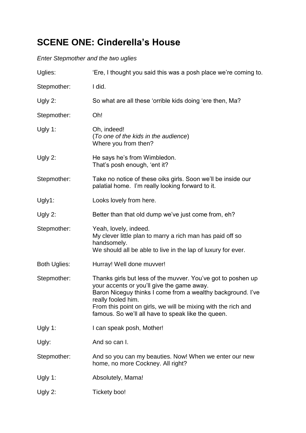# **SCENE ONE: Cinderella's House**

### *Enter Stepmother and the two uglies*

| Uglies:             | 'Ere, I thought you said this was a posh place we're coming to.                                                                                                                                                                                                                                                        |
|---------------------|------------------------------------------------------------------------------------------------------------------------------------------------------------------------------------------------------------------------------------------------------------------------------------------------------------------------|
| Stepmother:         | I did.                                                                                                                                                                                                                                                                                                                 |
| Ugly 2:             | So what are all these 'orrible kids doing 'ere then, Ma?                                                                                                                                                                                                                                                               |
| Stepmother:         | Oh!                                                                                                                                                                                                                                                                                                                    |
| Ugly 1:             | Oh, indeed!<br>(To one of the kids in the audience)<br>Where you from then?                                                                                                                                                                                                                                            |
| Ugly 2:             | He says he's from Wimbledon.<br>That's posh enough, 'ent it?                                                                                                                                                                                                                                                           |
| Stepmother:         | Take no notice of these oiks girls. Soon we'll be inside our<br>palatial home. I'm really looking forward to it.                                                                                                                                                                                                       |
| Ugly1:              | Looks lovely from here.                                                                                                                                                                                                                                                                                                |
| Ugly 2:             | Better than that old dump we've just come from, eh?                                                                                                                                                                                                                                                                    |
| Stepmother:         | Yeah, lovely, indeed.<br>My clever little plan to marry a rich man has paid off so<br>handsomely.<br>We should all be able to live in the lap of luxury for ever.                                                                                                                                                      |
| <b>Both Uglies:</b> | Hurray! Well done muvver!                                                                                                                                                                                                                                                                                              |
| Stepmother:         | Thanks girls but less of the muvver. You've got to poshen up<br>your accents or you'll give the game away.<br>Baron Niceguy thinks I come from a wealthy background. I've<br>really fooled him.<br>From this point on girls, we will be mixing with the rich and<br>famous. So we'll all have to speak like the queen. |
| Ugly 1:             | I can speak posh, Mother!                                                                                                                                                                                                                                                                                              |
| Ugly:               | And so can I.                                                                                                                                                                                                                                                                                                          |
| Stepmother:         | And so you can my beauties. Now! When we enter our new<br>home, no more Cockney. All right?                                                                                                                                                                                                                            |
| Ugly 1:             | Absolutely, Mama!                                                                                                                                                                                                                                                                                                      |
| Ugly 2:             | Tickety boo!                                                                                                                                                                                                                                                                                                           |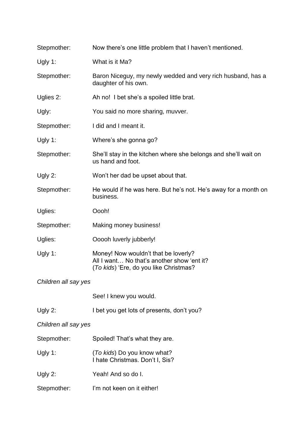| Stepmother:          | Now there's one little problem that I haven't mentioned.                                                                     |  |
|----------------------|------------------------------------------------------------------------------------------------------------------------------|--|
| Ugly 1:              | What is it Ma?                                                                                                               |  |
| Stepmother:          | Baron Niceguy, my newly wedded and very rich husband, has a<br>daughter of his own.                                          |  |
| Uglies 2:            | Ah no! I bet she's a spoiled little brat.                                                                                    |  |
| Ugly:                | You said no more sharing, muvver.                                                                                            |  |
| Stepmother:          | I did and I meant it.                                                                                                        |  |
| Ugly 1:              | Where's she gonna go?                                                                                                        |  |
| Stepmother:          | She'll stay in the kitchen where she belongs and she'll wait on<br>us hand and foot.                                         |  |
| Ugly 2:              | Won't her dad be upset about that.                                                                                           |  |
| Stepmother:          | He would if he was here. But he's not. He's away for a month on<br>business.                                                 |  |
| Uglies:              | Oooh!                                                                                                                        |  |
| Stepmother:          | Making money business!                                                                                                       |  |
| Uglies:              | Ooooh luverly jubberly!                                                                                                      |  |
| Ugly 1:              | Money! Now wouldn't that be loverly?<br>All I want No that's another show 'ent it?<br>(To kids) 'Ere, do you like Christmas? |  |
| Children all say yes |                                                                                                                              |  |
|                      | See! I knew you would.                                                                                                       |  |
| Ugly $2$ :           | I bet you get lots of presents, don't you?                                                                                   |  |
| Children all say yes |                                                                                                                              |  |
| Stepmother:          | Spoiled! That's what they are.                                                                                               |  |
| Ugly 1:              | (To kids) Do you know what?<br>I hate Christmas. Don't I, Sis?                                                               |  |
| Ugly 2:              | Yeah! And so do I.                                                                                                           |  |
| Stepmother:          | I'm not keen on it either!                                                                                                   |  |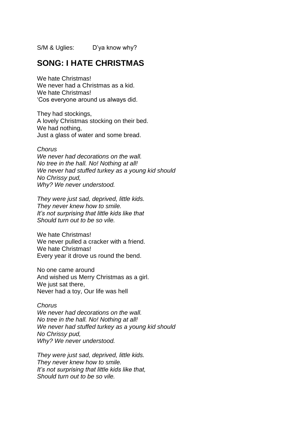S/M & Uglies: D'ya know why?

## **SONG: I HATE CHRISTMAS**

We hate Christmas! We never had a Christmas as a kid. We hate Christmas! 'Cos everyone around us always did.

They had stockings, A lovely Christmas stocking on their bed. We had nothing, Just a glass of water and some bread.

#### *Chorus*

*We never had decorations on the wall. No tree in the hall. No! Nothing at all! We never had stuffed turkey as a young kid should No Chrissy pud, Why? We never understood.*

*They were just sad, deprived, little kids. They never knew how to smile. It's not surprising that little kids like that Should turn out to be so vile.*

We hate Christmas! We never pulled a cracker with a friend. We hate Christmas! Every year it drove us round the bend.

No one came around And wished us Merry Christmas as a girl. We just sat there. Never had a toy, Our life was hell

### *Chorus*

*We never had decorations on the wall. No tree in the hall. No! Nothing at all! We never had stuffed turkey as a young kid should No Chrissy pud, Why? We never understood.*

*They were just sad, deprived, little kids. They never knew how to smile. It's not surprising that little kids like that, Should turn out to be so vile.*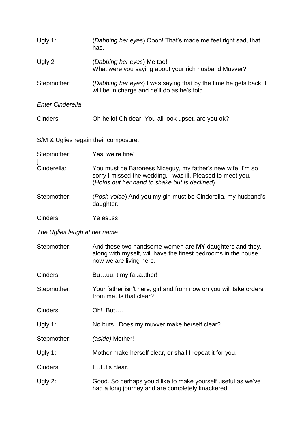| Ugly 1:                              | (Dabbing her eyes) Oooh! That's made me feel right sad, that<br>has.                                                                                                       |  |
|--------------------------------------|----------------------------------------------------------------------------------------------------------------------------------------------------------------------------|--|
| Ugly 2                               | (Dabbing her eyes) Me too!<br>What were you saying about your rich husband Muvver?                                                                                         |  |
| Stepmother:                          | (Dabbing her eyes) I was saying that by the time he gets back. I<br>will be in charge and he'll do as he's told.                                                           |  |
| <b>Enter Cinderella</b>              |                                                                                                                                                                            |  |
| Cinders:                             | Oh hello! Oh dear! You all look upset, are you ok?                                                                                                                         |  |
| S/M & Uglies regain their composure. |                                                                                                                                                                            |  |
| Stepmother:                          | Yes, we're fine!                                                                                                                                                           |  |
| Cinderella:                          | You must be Baroness Niceguy, my father's new wife. I'm so<br>sorry I missed the wedding, I was ill. Pleased to meet you.<br>(Holds out her hand to shake but is declined) |  |
| Stepmother:                          | (Posh voice) And you my girl must be Cinderella, my husband's<br>daughter.                                                                                                 |  |
| Cinders:                             | Ye esss                                                                                                                                                                    |  |
| The Uglies laugh at her name         |                                                                                                                                                                            |  |
| Stepmother:                          | And these two handsome women are MY daughters and they,<br>along with myself, will have the finest bedrooms in the house<br>now we are living here.                        |  |
| Cinders:                             | Buuu. t my faather!                                                                                                                                                        |  |
| Stepmother:                          | Your father isn't here, girl and from now on you will take orders<br>from me. Is that clear?                                                                               |  |
| Cinders:                             | Oh! But                                                                                                                                                                    |  |
| Ugly 1:                              | No buts. Does my muvver make herself clear?                                                                                                                                |  |
| Stepmother:                          | (aside) Mother!                                                                                                                                                            |  |
| Ugly 1:                              | Mother make herself clear, or shall I repeat it for you.                                                                                                                   |  |
| Cinders:                             | II.t's clear.                                                                                                                                                              |  |
| Ugly 2:                              | Good. So perhaps you'd like to make yourself useful as we've<br>had a long journey and are completely knackered.                                                           |  |